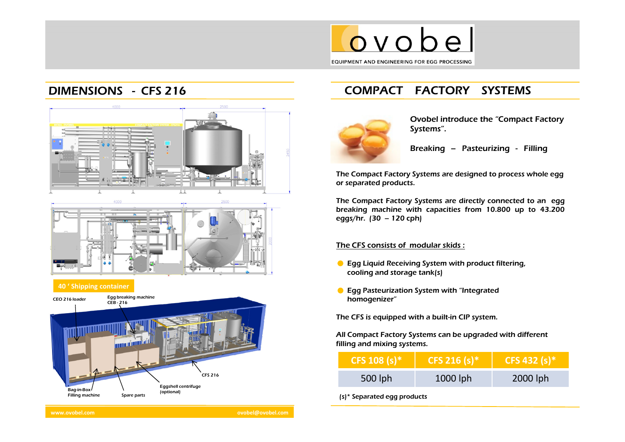

## DIMENSIONS - CFS 216





#### <sup>40</sup> ' Shipping container



www.ovobel.com ovobel@ovobel.com

# COMPACT FACTORY SYSTEMS



Ovobel introduce the "Compact Factory Systems".

Breaking – Pasteurizing - Filling

The Compact Factory Systems are designed to process whole egg or separated products.

The Compact Factory Systems are directly connected to an egg breaking machine with capacities from 10.800 up to 43.200 eggs/hr. (30 – <sup>120</sup> cph)

### The CFS consists of modular skids :

- **C** Egg Liquid Receiving System with product filtering, cooling and storage tank(s)
- **C** Egg Pasteurization System with "Integrated homogenizer"

The CFS is equipped with a built-in CIP system.

All Compact Factory Systems can be upgraded with different filling and mixing systems.

| CFS 108 (s) <sup>*</sup> | CFS 216 (s) <sup>*</sup> | CFS 432 (s) <sup>*</sup> |
|--------------------------|--------------------------|--------------------------|
| 500 lph                  | $1000$ lph               | 2000 lph                 |

(s)\* Separated egg products